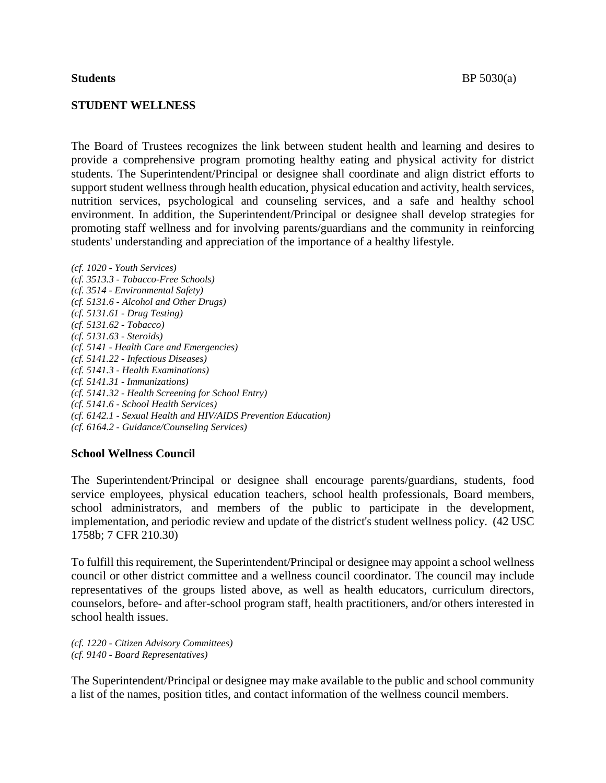## **STUDENT WELLNESS**

The Board of Trustees recognizes the link between student health and learning and desires to provide a comprehensive program promoting healthy eating and physical activity for district students. The Superintendent/Principal or designee shall coordinate and align district efforts to support student wellness through health education, physical education and activity, health services, nutrition services, psychological and counseling services, and a safe and healthy school environment. In addition, the Superintendent/Principal or designee shall develop strategies for promoting staff wellness and for involving parents/guardians and the community in reinforcing students' understanding and appreciation of the importance of a healthy lifestyle.

*(cf. 1020 - Youth Services) (cf. 3513.3 - Tobacco-Free Schools) (cf. 3514 - Environmental Safety) (cf. 5131.6 - Alcohol and Other Drugs) (cf. 5131.61 - Drug Testing) (cf. 5131.62 - Tobacco) (cf. 5131.63 - Steroids) (cf. 5141 - Health Care and Emergencies) (cf. 5141.22 - Infectious Diseases) (cf. 5141.3 - Health Examinations) (cf. 5141.31 - Immunizations) (cf. 5141.32 - Health Screening for School Entry) (cf. 5141.6 - School Health Services) (cf. 6142.1 - Sexual Health and HIV/AIDS Prevention Education) (cf. 6164.2 - Guidance/Counseling Services)*

## **School Wellness Council**

The Superintendent/Principal or designee shall encourage parents/guardians, students, food service employees, physical education teachers, school health professionals, Board members, school administrators, and members of the public to participate in the development, implementation, and periodic review and update of the district's student wellness policy. (42 USC 1758b; 7 CFR 210.30)

To fulfill this requirement, the Superintendent/Principal or designee may appoint a school wellness council or other district committee and a wellness council coordinator. The council may include representatives of the groups listed above, as well as health educators, curriculum directors, counselors, before- and after-school program staff, health practitioners, and/or others interested in school health issues.

*(cf. 1220 - Citizen Advisory Committees) (cf. 9140 - Board Representatives)*

The Superintendent/Principal or designee may make available to the public and school community a list of the names, position titles, and contact information of the wellness council members.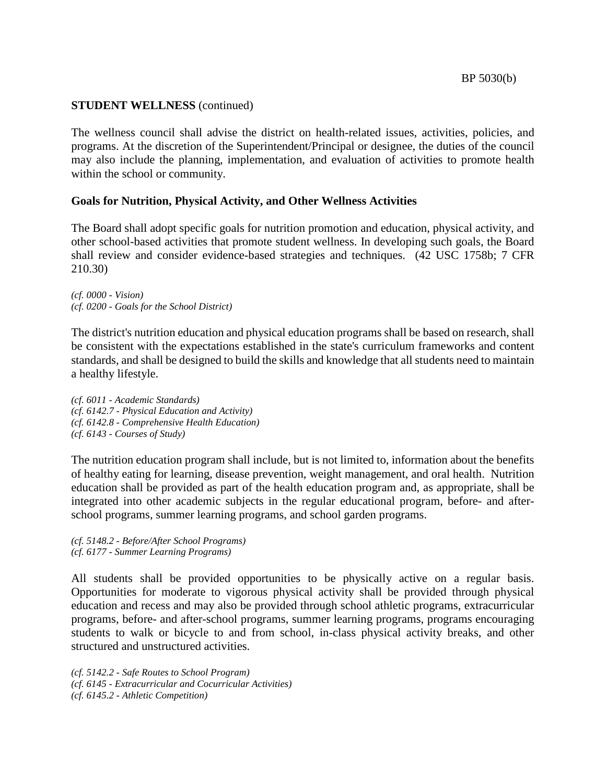The wellness council shall advise the district on health-related issues, activities, policies, and programs. At the discretion of the Superintendent/Principal or designee, the duties of the council may also include the planning, implementation, and evaluation of activities to promote health within the school or community.

# **Goals for Nutrition, Physical Activity, and Other Wellness Activities**

The Board shall adopt specific goals for nutrition promotion and education, physical activity, and other school-based activities that promote student wellness. In developing such goals, the Board shall review and consider evidence-based strategies and techniques. (42 USC 1758b; 7 CFR 210.30)

*(cf. 0000 - Vision) (cf. 0200 - Goals for the School District)*

The district's nutrition education and physical education programs shall be based on research, shall be consistent with the expectations established in the state's curriculum frameworks and content standards, and shall be designed to build the skills and knowledge that all students need to maintain a healthy lifestyle.

*(cf. 6011 - Academic Standards) (cf. 6142.7 - Physical Education and Activity) (cf. 6142.8 - Comprehensive Health Education) (cf. 6143 - Courses of Study)*

The nutrition education program shall include, but is not limited to, information about the benefits of healthy eating for learning, disease prevention, weight management, and oral health. Nutrition education shall be provided as part of the health education program and, as appropriate, shall be integrated into other academic subjects in the regular educational program, before- and afterschool programs, summer learning programs, and school garden programs.

*(cf. 5148.2 - Before/After School Programs) (cf. 6177 - Summer Learning Programs)*

All students shall be provided opportunities to be physically active on a regular basis. Opportunities for moderate to vigorous physical activity shall be provided through physical education and recess and may also be provided through school athletic programs, extracurricular programs, before- and after-school programs, summer learning programs, programs encouraging students to walk or bicycle to and from school, in-class physical activity breaks, and other structured and unstructured activities.

*(cf. 5142.2 - Safe Routes to School Program) (cf. 6145 - Extracurricular and Cocurricular Activities) (cf. 6145.2 - Athletic Competition)*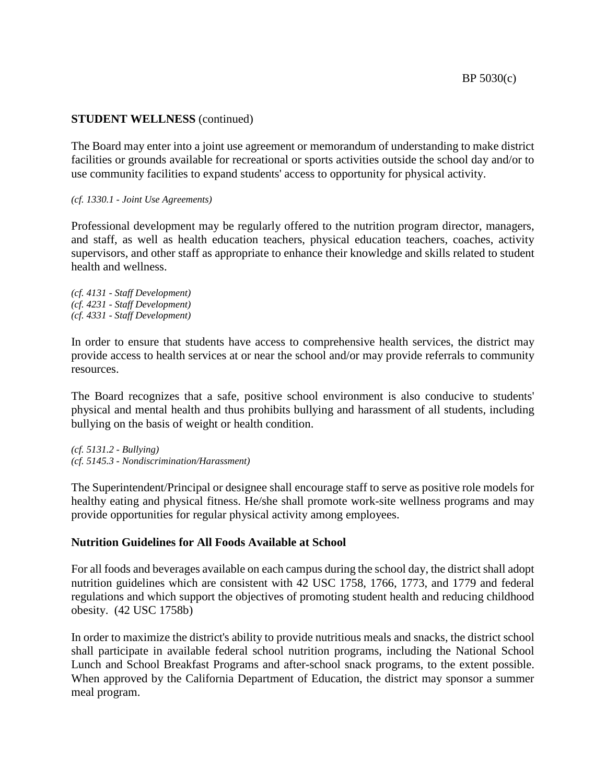The Board may enter into a joint use agreement or memorandum of understanding to make district facilities or grounds available for recreational or sports activities outside the school day and/or to use community facilities to expand students' access to opportunity for physical activity.

#### *(cf. 1330.1 - Joint Use Agreements)*

Professional development may be regularly offered to the nutrition program director, managers, and staff, as well as health education teachers, physical education teachers, coaches, activity supervisors, and other staff as appropriate to enhance their knowledge and skills related to student health and wellness.

*(cf. 4131 - Staff Development) (cf. 4231 - Staff Development) (cf. 4331 - Staff Development)*

In order to ensure that students have access to comprehensive health services, the district may provide access to health services at or near the school and/or may provide referrals to community resources.

The Board recognizes that a safe, positive school environment is also conducive to students' physical and mental health and thus prohibits bullying and harassment of all students, including bullying on the basis of weight or health condition.

*(cf. 5131.2 - Bullying) (cf. 5145.3 - Nondiscrimination/Harassment)*

The Superintendent/Principal or designee shall encourage staff to serve as positive role models for healthy eating and physical fitness. He/she shall promote work-site wellness programs and may provide opportunities for regular physical activity among employees.

# **Nutrition Guidelines for All Foods Available at School**

For all foods and beverages available on each campus during the school day, the district shall adopt nutrition guidelines which are consistent with 42 USC 1758, 1766, 1773, and 1779 and federal regulations and which support the objectives of promoting student health and reducing childhood obesity. (42 USC 1758b)

In order to maximize the district's ability to provide nutritious meals and snacks, the district school shall participate in available federal school nutrition programs, including the National School Lunch and School Breakfast Programs and after-school snack programs, to the extent possible. When approved by the California Department of Education, the district may sponsor a summer meal program.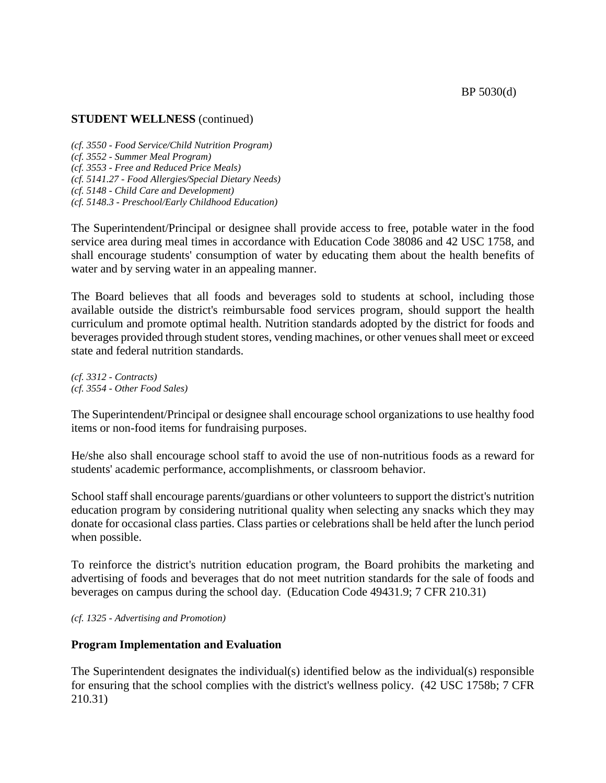*(cf. 3550 - Food Service/Child Nutrition Program) (cf. 3552 - Summer Meal Program) (cf. 3553 - Free and Reduced Price Meals) (cf. 5141.27 - Food Allergies/Special Dietary Needs) (cf. 5148 - Child Care and Development) (cf. 5148.3 - Preschool/Early Childhood Education)*

The Superintendent/Principal or designee shall provide access to free, potable water in the food service area during meal times in accordance with Education Code 38086 and 42 USC 1758, and shall encourage students' consumption of water by educating them about the health benefits of water and by serving water in an appealing manner.

The Board believes that all foods and beverages sold to students at school, including those available outside the district's reimbursable food services program, should support the health curriculum and promote optimal health. Nutrition standards adopted by the district for foods and beverages provided through student stores, vending machines, or other venues shall meet or exceed state and federal nutrition standards.

*(cf. 3312 - Contracts) (cf. 3554 - Other Food Sales)*

The Superintendent/Principal or designee shall encourage school organizations to use healthy food items or non-food items for fundraising purposes.

He/she also shall encourage school staff to avoid the use of non-nutritious foods as a reward for students' academic performance, accomplishments, or classroom behavior.

School staff shall encourage parents/guardians or other volunteers to support the district's nutrition education program by considering nutritional quality when selecting any snacks which they may donate for occasional class parties. Class parties or celebrations shall be held after the lunch period when possible.

To reinforce the district's nutrition education program, the Board prohibits the marketing and advertising of foods and beverages that do not meet nutrition standards for the sale of foods and beverages on campus during the school day. (Education Code 49431.9; 7 CFR 210.31)

*(cf. 1325 - Advertising and Promotion)*

# **Program Implementation and Evaluation**

The Superintendent designates the individual(s) identified below as the individual(s) responsible for ensuring that the school complies with the district's wellness policy. (42 USC 1758b; 7 CFR 210.31)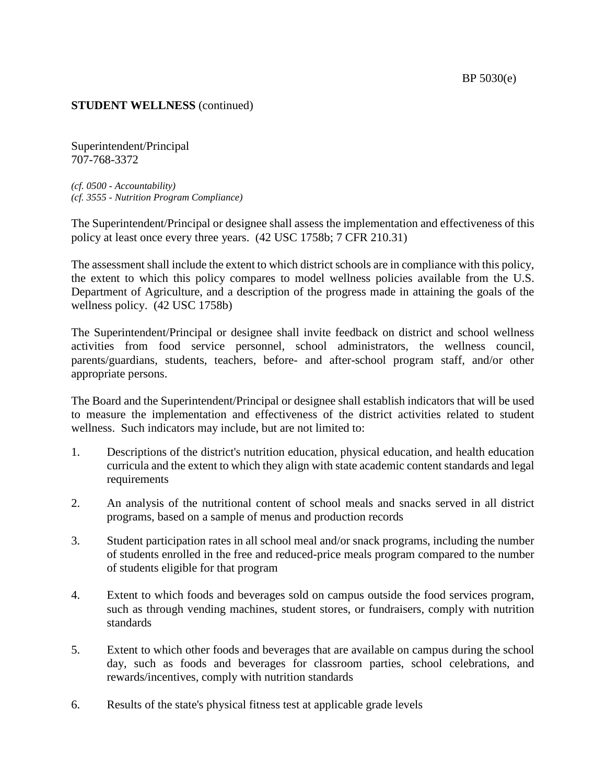Superintendent/Principal 707-768-3372

*(cf. 0500 - Accountability) (cf. 3555 - Nutrition Program Compliance)*

The Superintendent/Principal or designee shall assess the implementation and effectiveness of this policy at least once every three years. (42 USC 1758b; 7 CFR 210.31)

The assessment shall include the extent to which district schools are in compliance with this policy, the extent to which this policy compares to model wellness policies available from the U.S. Department of Agriculture, and a description of the progress made in attaining the goals of the wellness policy. (42 USC 1758b)

The Superintendent/Principal or designee shall invite feedback on district and school wellness activities from food service personnel, school administrators, the wellness council, parents/guardians, students, teachers, before- and after-school program staff, and/or other appropriate persons.

The Board and the Superintendent/Principal or designee shall establish indicators that will be used to measure the implementation and effectiveness of the district activities related to student wellness. Such indicators may include, but are not limited to:

- 1. Descriptions of the district's nutrition education, physical education, and health education curricula and the extent to which they align with state academic content standards and legal requirements
- 2. An analysis of the nutritional content of school meals and snacks served in all district programs, based on a sample of menus and production records
- 3. Student participation rates in all school meal and/or snack programs, including the number of students enrolled in the free and reduced-price meals program compared to the number of students eligible for that program
- 4. Extent to which foods and beverages sold on campus outside the food services program, such as through vending machines, student stores, or fundraisers, comply with nutrition standards
- 5. Extent to which other foods and beverages that are available on campus during the school day, such as foods and beverages for classroom parties, school celebrations, and rewards/incentives, comply with nutrition standards
- 6. Results of the state's physical fitness test at applicable grade levels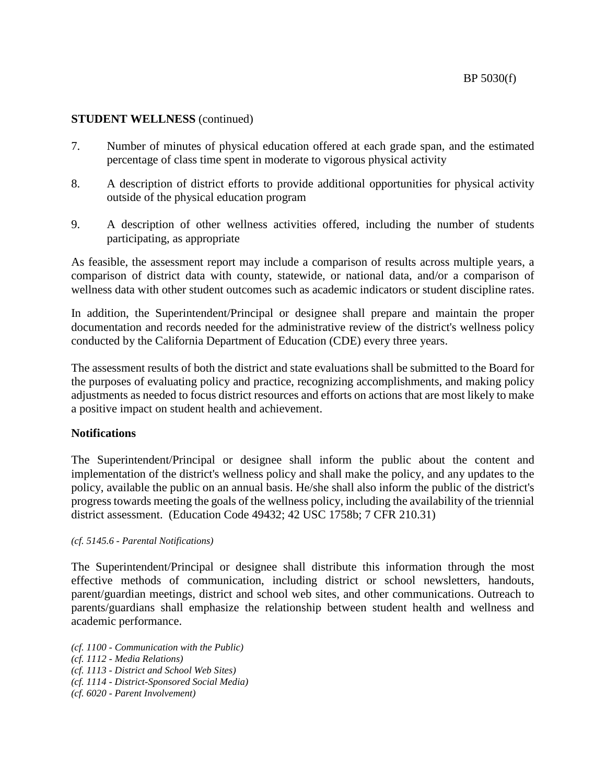- 7. Number of minutes of physical education offered at each grade span, and the estimated percentage of class time spent in moderate to vigorous physical activity
- 8. A description of district efforts to provide additional opportunities for physical activity outside of the physical education program
- 9. A description of other wellness activities offered, including the number of students participating, as appropriate

As feasible, the assessment report may include a comparison of results across multiple years, a comparison of district data with county, statewide, or national data, and/or a comparison of wellness data with other student outcomes such as academic indicators or student discipline rates.

In addition, the Superintendent/Principal or designee shall prepare and maintain the proper documentation and records needed for the administrative review of the district's wellness policy conducted by the California Department of Education (CDE) every three years.

The assessment results of both the district and state evaluations shall be submitted to the Board for the purposes of evaluating policy and practice, recognizing accomplishments, and making policy adjustments as needed to focus district resources and efforts on actions that are most likely to make a positive impact on student health and achievement.

## **Notifications**

The Superintendent/Principal or designee shall inform the public about the content and implementation of the district's wellness policy and shall make the policy, and any updates to the policy, available the public on an annual basis. He/she shall also inform the public of the district's progress towards meeting the goals of the wellness policy, including the availability of the triennial district assessment. (Education Code 49432; 42 USC 1758b; 7 CFR 210.31)

## *(cf. 5145.6 - Parental Notifications)*

The Superintendent/Principal or designee shall distribute this information through the most effective methods of communication, including district or school newsletters, handouts, parent/guardian meetings, district and school web sites, and other communications. Outreach to parents/guardians shall emphasize the relationship between student health and wellness and academic performance.

*(cf. 1100 - Communication with the Public) (cf. 1112 - Media Relations) (cf. 1113 - District and School Web Sites) (cf. 1114 - District-Sponsored Social Media) (cf. 6020 - Parent Involvement)*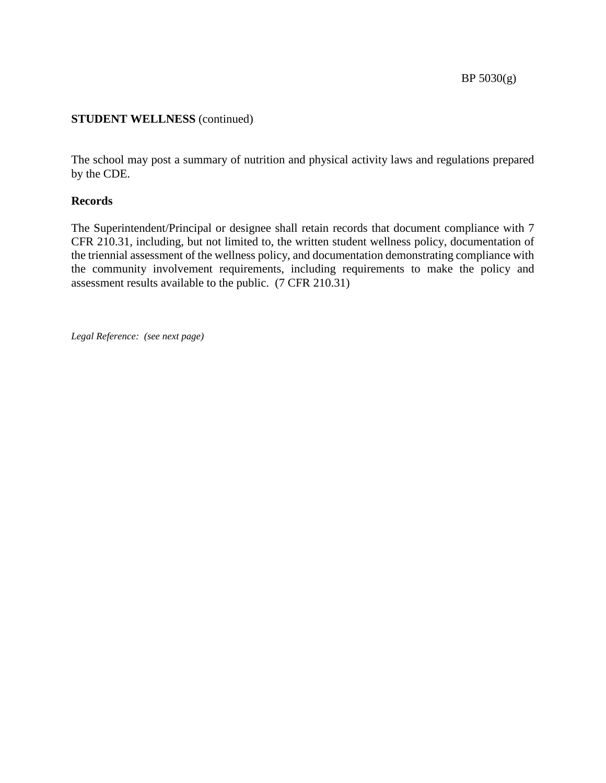The school may post a summary of nutrition and physical activity laws and regulations prepared by the CDE.

# **Records**

The Superintendent/Principal or designee shall retain records that document compliance with 7 CFR 210.31, including, but not limited to, the written student wellness policy, documentation of the triennial assessment of the wellness policy, and documentation demonstrating compliance with the community involvement requirements, including requirements to make the policy and assessment results available to the public. (7 CFR 210.31)

*Legal Reference: (see next page)*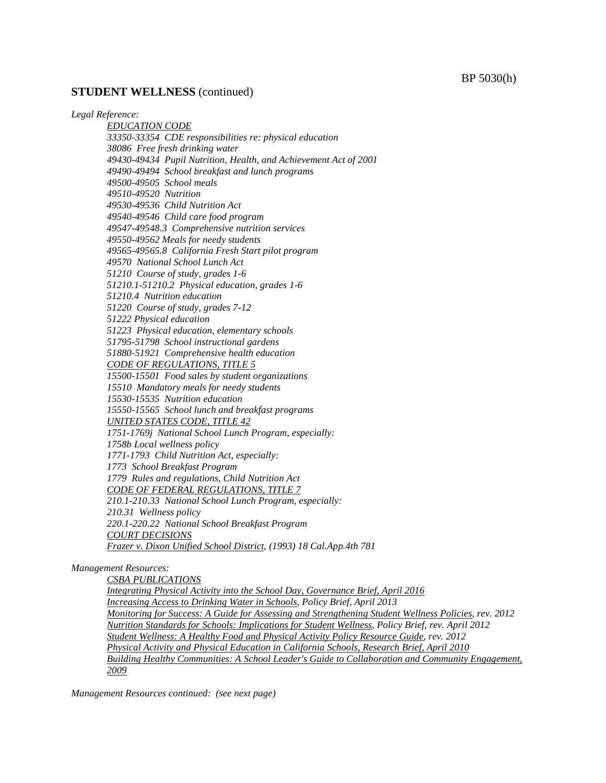#### BP 5030(h)

#### **STUDENT WELLNESS** (continued)

#### *Legal Reference:*

*EDUCATION CODE 33350-33354 CDE responsibilities re: physical education 38086 Free fresh drinking water 49430-49434 Pupil Nutrition, Health, and Achievement Act of 2001 49490-49494 School breakfast and lunch programs 49500-49505 School meals 49510-49520 Nutrition 49530-49536 Child Nutrition Act 49540-49546 Child care food program 49547-49548.3 Comprehensive nutrition services 49550-49562 Meals for needy students 49565-49565.8 California Fresh Start pilot program 49570 National School Lunch Act 51210 Course of study, grades 1-6 51210.1-51210.2 Physical education, grades 1-6 51210.4 Nutrition education 51220 Course of study, grades 7-12 51222 Physical education 51223 Physical education, elementary schools 51795-51798 School instructional gardens 51880-51921 Comprehensive health education CODE OF REGULATIONS, TITLE 5 15500-15501 Food sales by student organizations 15510 Mandatory meals for needy students 15530-15535 Nutrition education 15550-15565 School lunch and breakfast programs UNITED STATES CODE, TITLE 42 1751-1769j National School Lunch Program, especially: 1758b Local wellness policy 1771-1793 Child Nutrition Act, especially: 1773 School Breakfast Program 1779 Rules and regulations, Child Nutrition Act CODE OF FEDERAL REGULATIONS, TITLE 7 210.1-210.33 National School Lunch Program, especially: 210.31 Wellness policy 220.1-220.22 National School Breakfast Program COURT DECISIONS Frazer v. Dixon Unified School District, (1993) 18 Cal.App.4th 781*

#### *Management Resources:*

*CSBA PUBLICATIONS*

*Integrating Physical Activity into the School Day, Governance Brief, April 2016 Increasing Access to Drinking Water in Schools, Policy Brief, April 2013 Monitoring for Success: A Guide for Assessing and Strengthening Student Wellness Policies, rev. 2012 Nutrition Standards for Schools: Implications for Student Wellness, Policy Brief, rev. April 2012 Student Wellness: A Healthy Food and Physical Activity Policy Resource Guide, rev. 2012 Physical Activity and Physical Education in California Schools, Research Brief, April 2010 Building Healthy Communities: A School Leader's Guide to Collaboration and Community Engagement, 2009*

*Management Resources continued: (see next page)*